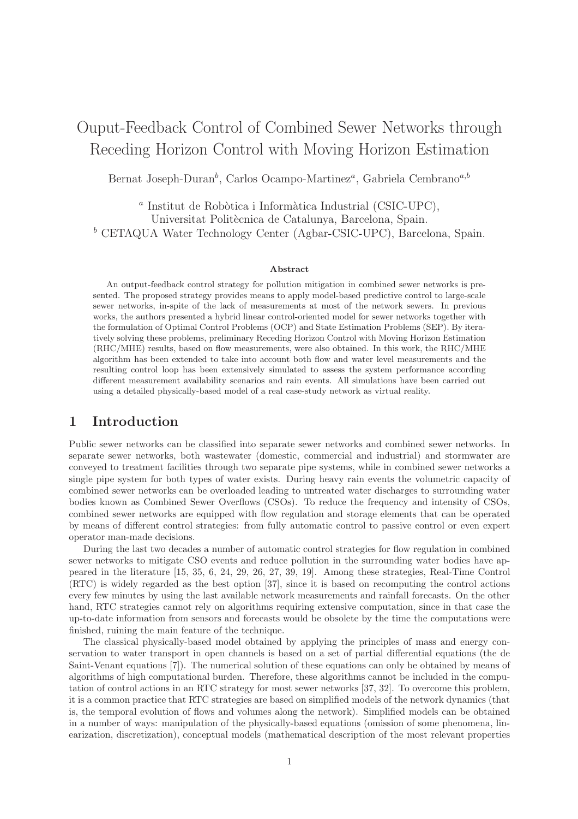# Ouput-Feedback Control of Combined Sewer Networks through Receding Horizon Control with Moving Horizon Estimation

Bernat Joseph-Duran<sup>b</sup>, Carlos Ocampo-Martinez<sup>a</sup>, Gabriela Cembrano<sup>a,b</sup>

 $a$  Institut de Robòtica i Informàtica Industrial (CSIC-UPC), Universitat Politècnica de Catalunya, Barcelona, Spain. <sup>b</sup> CETAQUA Water Technology Center (Agbar-CSIC-UPC), Barcelona, Spain.

#### Abstract

An output-feedback control strategy for pollution mitigation in combined sewer networks is presented. The proposed strategy provides means to apply model-based predictive control to large-scale sewer networks, in-spite of the lack of measurements at most of the network sewers. In previous works, the authors presented a hybrid linear control-oriented model for sewer networks together with the formulation of Optimal Control Problems (OCP) and State Estimation Problems (SEP). By iteratively solving these problems, preliminary Receding Horizon Control with Moving Horizon Estimation (RHC/MHE) results, based on flow measurements, were also obtained. In this work, the RHC/MHE algorithm has been extended to take into account both flow and water level measurements and the resulting control loop has been extensively simulated to assess the system performance according different measurement availability scenarios and rain events. All simulations have been carried out using a detailed physically-based model of a real case-study network as virtual reality.

## 1 Introduction

Public sewer networks can be classified into separate sewer networks and combined sewer networks. In separate sewer networks, both wastewater (domestic, commercial and industrial) and stormwater are conveyed to treatment facilities through two separate pipe systems, while in combined sewer networks a single pipe system for both types of water exists. During heavy rain events the volumetric capacity of combined sewer networks can be overloaded leading to untreated water discharges to surrounding water bodies known as Combined Sewer Overflows (CSOs). To reduce the frequency and intensity of CSOs, combined sewer networks are equipped with flow regulation and storage elements that can be operated by means of different control strategies: from fully automatic control to passive control or even expert operator man-made decisions.

During the last two decades a number of automatic control strategies for flow regulation in combined sewer networks to mitigate CSO events and reduce pollution in the surrounding water bodies have appeared in the literature [15, 35, 6, 24, 29, 26, 27, 39, 19]. Among these strategies, Real-Time Control (RTC) is widely regarded as the best option [37], since it is based on recomputing the control actions every few minutes by using the last available network measurements and rainfall forecasts. On the other hand, RTC strategies cannot rely on algorithms requiring extensive computation, since in that case the up-to-date information from sensors and forecasts would be obsolete by the time the computations were finished, ruining the main feature of the technique.

The classical physically-based model obtained by applying the principles of mass and energy conservation to water transport in open channels is based on a set of partial differential equations (the de Saint-Venant equations [7]). The numerical solution of these equations can only be obtained by means of algorithms of high computational burden. Therefore, these algorithms cannot be included in the computation of control actions in an RTC strategy for most sewer networks [37, 32]. To overcome this problem, it is a common practice that RTC strategies are based on simplified models of the network dynamics (that is, the temporal evolution of flows and volumes along the network). Simplified models can be obtained in a number of ways: manipulation of the physically-based equations (omission of some phenomena, linearization, discretization), conceptual models (mathematical description of the most relevant properties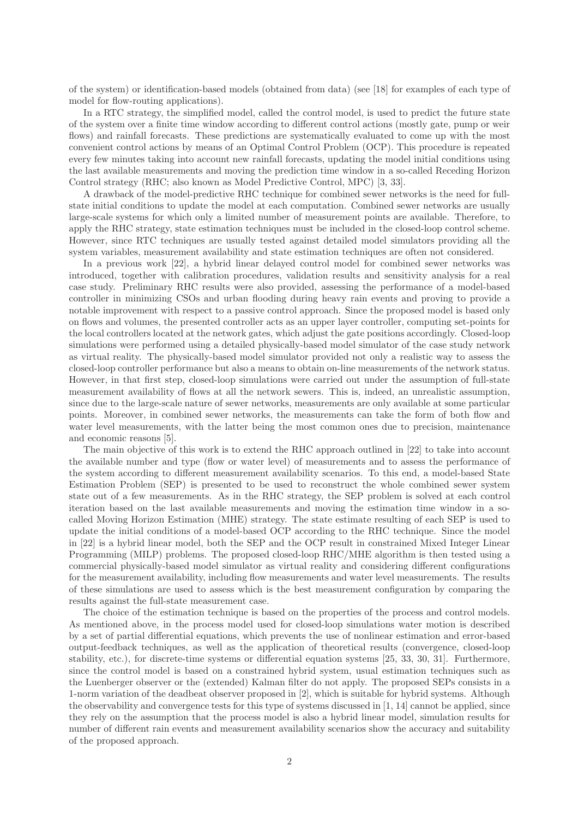of the system) or identification-based models (obtained from data) (see [18] for examples of each type of model for flow-routing applications).

In a RTC strategy, the simplified model, called the control model, is used to predict the future state of the system over a finite time window according to different control actions (mostly gate, pump or weir flows) and rainfall forecasts. These predictions are systematically evaluated to come up with the most convenient control actions by means of an Optimal Control Problem (OCP). This procedure is repeated every few minutes taking into account new rainfall forecasts, updating the model initial conditions using the last available measurements and moving the prediction time window in a so-called Receding Horizon Control strategy (RHC; also known as Model Predictive Control, MPC) [3, 33].

A drawback of the model-predictive RHC technique for combined sewer networks is the need for fullstate initial conditions to update the model at each computation. Combined sewer networks are usually large-scale systems for which only a limited number of measurement points are available. Therefore, to apply the RHC strategy, state estimation techniques must be included in the closed-loop control scheme. However, since RTC techniques are usually tested against detailed model simulators providing all the system variables, measurement availability and state estimation techniques are often not considered.

In a previous work [22], a hybrid linear delayed control model for combined sewer networks was introduced, together with calibration procedures, validation results and sensitivity analysis for a real case study. Preliminary RHC results were also provided, assessing the performance of a model-based controller in minimizing CSOs and urban flooding during heavy rain events and proving to provide a notable improvement with respect to a passive control approach. Since the proposed model is based only on flows and volumes, the presented controller acts as an upper layer controller, computing set-points for the local controllers located at the network gates, which adjust the gate positions accordingly. Closed-loop simulations were performed using a detailed physically-based model simulator of the case study network as virtual reality. The physically-based model simulator provided not only a realistic way to assess the closed-loop controller performance but also a means to obtain on-line measurements of the network status. However, in that first step, closed-loop simulations were carried out under the assumption of full-state measurement availability of flows at all the network sewers. This is, indeed, an unrealistic assumption, since due to the large-scale nature of sewer networks, measurements are only available at some particular points. Moreover, in combined sewer networks, the measurements can take the form of both flow and water level measurements, with the latter being the most common ones due to precision, maintenance and economic reasons [5].

The main objective of this work is to extend the RHC approach outlined in [22] to take into account the available number and type (flow or water level) of measurements and to assess the performance of the system according to different measurement availability scenarios. To this end, a model-based State Estimation Problem (SEP) is presented to be used to reconstruct the whole combined sewer system state out of a few measurements. As in the RHC strategy, the SEP problem is solved at each control iteration based on the last available measurements and moving the estimation time window in a socalled Moving Horizon Estimation (MHE) strategy. The state estimate resulting of each SEP is used to update the initial conditions of a model-based OCP according to the RHC technique. Since the model in [22] is a hybrid linear model, both the SEP and the OCP result in constrained Mixed Integer Linear Programming (MILP) problems. The proposed closed-loop RHC/MHE algorithm is then tested using a commercial physically-based model simulator as virtual reality and considering different configurations for the measurement availability, including flow measurements and water level measurements. The results of these simulations are used to assess which is the best measurement configuration by comparing the results against the full-state measurement case.

The choice of the estimation technique is based on the properties of the process and control models. As mentioned above, in the process model used for closed-loop simulations water motion is described by a set of partial differential equations, which prevents the use of nonlinear estimation and error-based output-feedback techniques, as well as the application of theoretical results (convergence, closed-loop stability, etc.), for discrete-time systems or differential equation systems [25, 33, 30, 31]. Furthermore, since the control model is based on a constrained hybrid system, usual estimation techniques such as the Luenberger observer or the (extended) Kalman filter do not apply. The proposed SEPs consists in a 1-norm variation of the deadbeat observer proposed in [2], which is suitable for hybrid systems. Although the observability and convergence tests for this type of systems discussed in [1, 14] cannot be applied, since they rely on the assumption that the process model is also a hybrid linear model, simulation results for number of different rain events and measurement availability scenarios show the accuracy and suitability of the proposed approach.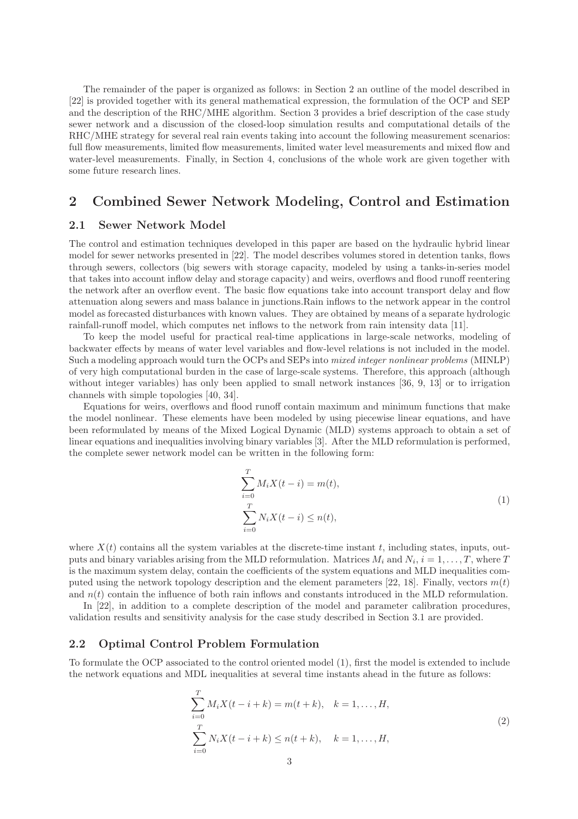The remainder of the paper is organized as follows: in Section 2 an outline of the model described in [22] is provided together with its general mathematical expression, the formulation of the OCP and SEP and the description of the RHC/MHE algorithm. Section 3 provides a brief description of the case study sewer network and a discussion of the closed-loop simulation results and computational details of the RHC/MHE strategy for several real rain events taking into account the following measurement scenarios: full flow measurements, limited flow measurements, limited water level measurements and mixed flow and water-level measurements. Finally, in Section 4, conclusions of the whole work are given together with some future research lines.

## 2 Combined Sewer Network Modeling, Control and Estimation

#### 2.1 Sewer Network Model

The control and estimation techniques developed in this paper are based on the hydraulic hybrid linear model for sewer networks presented in [22]. The model describes volumes stored in detention tanks, flows through sewers, collectors (big sewers with storage capacity, modeled by using a tanks-in-series model that takes into account inflow delay and storage capacity) and weirs, overflows and flood runoff reentering the network after an overflow event. The basic flow equations take into account transport delay and flow attenuation along sewers and mass balance in junctions.Rain inflows to the network appear in the control model as forecasted disturbances with known values. They are obtained by means of a separate hydrologic rainfall-runoff model, which computes net inflows to the network from rain intensity data [11].

To keep the model useful for practical real-time applications in large-scale networks, modeling of backwater effects by means of water level variables and flow-level relations is not included in the model. Such a modeling approach would turn the OCPs and SEPs into mixed integer nonlinear problems (MINLP) of very high computational burden in the case of large-scale systems. Therefore, this approach (although without integer variables) has only been applied to small network instances [36, 9, 13] or to irrigation channels with simple topologies [40, 34].

Equations for weirs, overflows and flood runoff contain maximum and minimum functions that make the model nonlinear. These elements have been modeled by using piecewise linear equations, and have been reformulated by means of the Mixed Logical Dynamic (MLD) systems approach to obtain a set of linear equations and inequalities involving binary variables [3]. After the MLD reformulation is performed, the complete sewer network model can be written in the following form:

$$
\sum_{i=0}^{T} M_i X(t - i) = m(t),
$$
  
\n
$$
\sum_{i=0}^{T} N_i X(t - i) \le n(t),
$$
\n(1)

where  $X(t)$  contains all the system variables at the discrete-time instant t, including states, inputs, outputs and binary variables arising from the MLD reformulation. Matrices  $M_i$  and  $N_i$ ,  $i = 1, \ldots, T$ , where T is the maximum system delay, contain the coefficients of the system equations and MLD inequalities computed using the network topology description and the element parameters [22, 18]. Finally, vectors  $m(t)$ and  $n(t)$  contain the influence of both rain inflows and constants introduced in the MLD reformulation.

In [22], in addition to a complete description of the model and parameter calibration procedures, validation results and sensitivity analysis for the case study described in Section 3.1 are provided.

#### 2.2 Optimal Control Problem Formulation

To formulate the OCP associated to the control oriented model (1), first the model is extended to include the network equations and MDL inequalities at several time instants ahead in the future as follows:

$$
\sum_{i=0}^{T} M_i X(t - i + k) = m(t + k), \quad k = 1, ..., H,
$$
  

$$
\sum_{i=0}^{T} N_i X(t - i + k) \le n(t + k), \quad k = 1, ..., H,
$$
  
(2)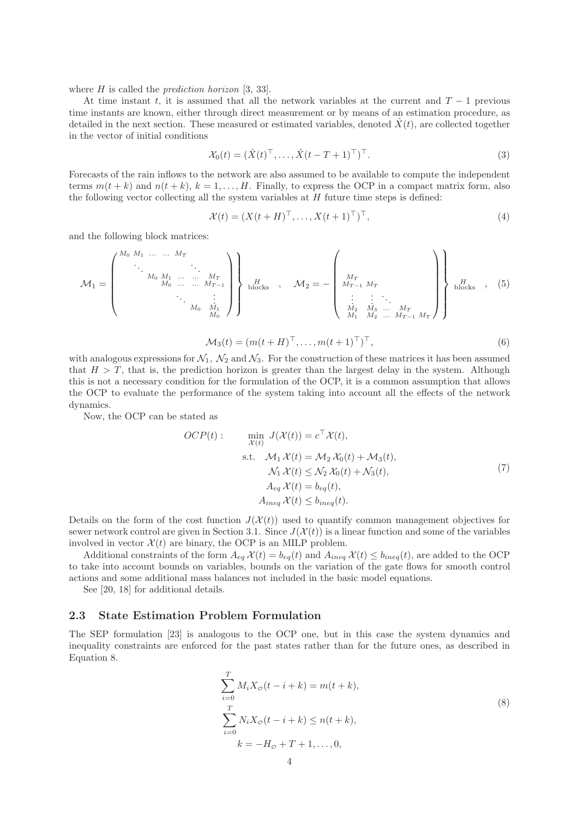where  $H$  is called the *prediction horizon* [3, 33].

At time instant t, it is assumed that all the network variables at the current and  $T-1$  previous time instants are known, either through direct measurement or by means of an estimation procedure, as detailed in the next section. These measured or estimated variables, denoted  $\ddot{X}(t)$ , are collected together in the vector of initial conditions

$$
\mathcal{X}_0(t) = (\hat{X}(t)^\top, \dots, \hat{X}(t - T + 1)^\top)^\top.
$$
\n
$$
(3)
$$

Forecasts of the rain inflows to the network are also assumed to be available to compute the independent terms  $m(t + k)$  and  $n(t + k)$ ,  $k = 1, ..., H$ . Finally, to express the OCP in a compact matrix form, also the following vector collecting all the system variables at  $H$  future time steps is defined:

$$
\mathcal{X}(t) = (X(t+H)^\top, \dots, X(t+1)^\top)^\top,\tag{4}
$$

and the following block matrices:

M<sup>1</sup> = M<sup>0</sup> M<sup>1</sup> ... ... M<sup>T</sup> . . . . . . M<sup>0</sup> M<sup>1</sup> ... ... M<sup>T</sup> M<sup>0</sup> ... ... MT−<sup>1</sup> . . . . . . M0 M1 M0 H blocks , M<sup>2</sup> = − M<sup>T</sup> MT−<sup>1</sup> M<sup>T</sup> . . . . . . . . . M<sup>2</sup> M<sup>3</sup> ... M<sup>T</sup> M<sup>1</sup> M<sup>2</sup> ... MT−<sup>1</sup> M<sup>T</sup> H blocks , (5)

$$
\mathcal{M}_3(t) = (m(t+H)^\top, \dots, m(t+1)^\top)^\top,\tag{6}
$$

with analogous expressions for  $\mathcal{N}_1$ ,  $\mathcal{N}_2$  and  $\mathcal{N}_3$ . For the construction of these matrices it has been assumed that  $H > T$ , that is, the prediction horizon is greater than the largest delay in the system. Although this is not a necessary condition for the formulation of the OCP, it is a common assumption that allows the OCP to evaluate the performance of the system taking into account all the effects of the network dynamics.

Now, the OCP can be stated as

$$
OCP(t): \qquad \min_{\mathcal{X}(t)} J(\mathcal{X}(t)) = c^{\top} \mathcal{X}(t),
$$
  
s.t.  $\mathcal{M}_1 \mathcal{X}(t) = \mathcal{M}_2 \mathcal{X}_0(t) + \mathcal{M}_3(t),$   
 $\mathcal{N}_1 \mathcal{X}(t) \leq \mathcal{N}_2 \mathcal{X}_0(t) + \mathcal{N}_3(t),$   
 $A_{eq} \mathcal{X}(t) = b_{eq}(t),$   
 $A_{ineq} \mathcal{X}(t) \leq b_{ineq}(t).$  (7)

Details on the form of the cost function  $J(\mathcal{X}(t))$  used to quantify common management objectives for sewer network control are given in Section 3.1. Since  $J(\mathcal{X}(t))$  is a linear function and some of the variables involved in vector  $\mathcal{X}(t)$  are binary, the OCP is an MILP problem.

Additional constraints of the form  $A_{eq} \mathcal{X}(t) = b_{eq}(t)$  and  $A_{ineq} \mathcal{X}(t) \leq b_{ineq}(t)$ , are added to the OCP to take into account bounds on variables, bounds on the variation of the gate flows for smooth control actions and some additional mass balances not included in the basic model equations.

See [20, 18] for additional details.

#### 2.3 State Estimation Problem Formulation

The SEP formulation [23] is analogous to the OCP one, but in this case the system dynamics and inequality constraints are enforced for the past states rather than for the future ones, as described in Equation 8.

$$
\sum_{i=0}^{T} M_i X_{\phi}(t - i + k) = m(t + k),
$$
  
\n
$$
\sum_{i=0}^{T} N_i X_{\phi}(t - i + k) \le n(t + k),
$$
  
\n
$$
k = -H_{\phi} + T + 1, ..., 0,
$$
 (8)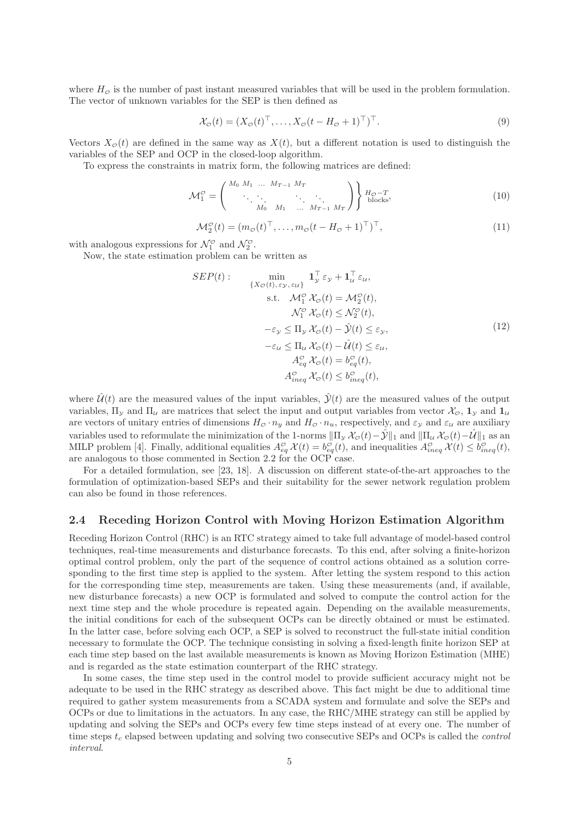where  $H_{\mathcal{O}}$  is the number of past instant measured variables that will be used in the problem formulation. The vector of unknown variables for the SEP is then defined as

$$
\mathcal{X}_{\phi}(t) = (X_{\phi}(t)^{\top}, \dots, X_{\phi}(t - H_{\phi} + 1)^{\top})^{\top}.
$$
\n(9)

Vectors  $X_{\mathcal{O}}(t)$  are defined in the same way as  $X(t)$ , but a different notation is used to distinguish the variables of the SEP and OCP in the closed-loop algorithm.

To express the constraints in matrix form, the following matrices are defined:

$$
\mathcal{M}_1^{\mathcal{O}} = \begin{pmatrix} M_0 & M_1 & \dots & M_{T-1} & M_T \\ \vdots & \vdots & \ddots & \vdots \\ M_0 & M_1 & \dots & M_{T-1} & M_T \end{pmatrix} \begin{cases} H_{\mathcal{O}} - T \\ \text{blocks}, \end{cases}
$$
 (10)

$$
\mathcal{M}_2^{\circ}(t) = (m_{\circ}(t)^{\top}, \dots, m_{\circ}(t - H_{\circ} + 1)^{\top})^{\top}, \tag{11}
$$

with analogous expressions for  $\mathcal{N}_1^{\phi}$  and  $\mathcal{N}_2^{\phi}$ .

Now, the state estimation problem can be written as

$$
SEP(t): \quad \min_{\{X_{\mathcal{O}}(t), \varepsilon_{\mathcal{Y}}, \varepsilon_{\mathcal{U}}\}} \mathbf{1}_{\mathcal{Y}}^{\top} \varepsilon_{\mathcal{Y}} + \mathbf{1}_{\mathcal{U}}^{\top} \varepsilon_{\mathcal{U}},
$$
\n
$$
\text{s.t.} \quad \mathcal{M}_{1}^{\mathcal{O}} \mathcal{X}_{\mathcal{O}}(t) = \mathcal{M}_{2}^{\mathcal{O}}(t),
$$
\n
$$
\mathcal{N}_{1}^{\mathcal{O}} \mathcal{X}_{\mathcal{O}}(t) \leq \mathcal{N}_{2}^{\mathcal{O}}(t),
$$
\n
$$
-\varepsilon_{\mathcal{Y}} \leq \Pi_{\mathcal{Y}} \mathcal{X}_{\mathcal{O}}(t) - \hat{\mathcal{Y}}(t) \leq \varepsilon_{\mathcal{Y}},
$$
\n
$$
-\varepsilon_{\mathcal{U}} \leq \Pi_{\mathcal{U}} \mathcal{X}_{\mathcal{O}}(t) - \hat{\mathcal{U}}(t) \leq \varepsilon_{\mathcal{U}},
$$
\n
$$
\mathcal{A}_{eq}^{\mathcal{O}} \mathcal{X}_{\mathcal{O}}(t) = b_{eq}^{\mathcal{O}}(t),
$$
\n
$$
\mathcal{A}_{ineq}^{\mathcal{O}} \mathcal{X}_{\mathcal{O}}(t) \leq b_{ineq}^{\mathcal{O}}(t),
$$
\n(12)

where  $\hat{\mathcal{U}}(t)$  are the measured values of the input variables,  $\hat{\mathcal{Y}}(t)$  are the measured values of the output variables,  $\Pi_{\mathcal{Y}}$  and  $\Pi_{\mathcal{U}}$  are matrices that select the input and output variables from vector  $\mathcal{X}_{\mathcal{O}}$ ,  $\mathbf{1}_{\mathcal{Y}}$  and  $\mathbf{1}_{\mathcal{U}}$ are vectors of unitary entries of dimensions  $H_0 \cdot n_y$  and  $H_0 \cdot n_u$ , respectively, and  $\varepsilon_y$  and  $\varepsilon_u$  are auxiliary variables used to reformulate the minimization of the 1-norms  $\|\Pi_{\mathcal{Y}}\mathcal{X}_{\mathcal{O}}(t)-\hat{\mathcal{Y}}\|_1$  and  $\|\Pi_{\mathcal{U}}\mathcal{X}_{\mathcal{O}}(t)-\hat{\mathcal{U}}\|_1$  as an MILP problem [4]. Finally, additional equalities  $A_{eq}^{\circ} \chi(t) = b_{eq}^{\circ}(t)$ , and inequalities  $A_{ineq}^{\circ} \chi(t) \leq b_{ineq}^{\circ}(t)$ , are analogous to those commented in Section 2.2 for the OCP case.

For a detailed formulation, see [23, 18]. A discussion on different state-of-the-art approaches to the formulation of optimization-based SEPs and their suitability for the sewer network regulation problem can also be found in those references.

#### 2.4 Receding Horizon Control with Moving Horizon Estimation Algorithm

Receding Horizon Control (RHC) is an RTC strategy aimed to take full advantage of model-based control techniques, real-time measurements and disturbance forecasts. To this end, after solving a finite-horizon optimal control problem, only the part of the sequence of control actions obtained as a solution corresponding to the first time step is applied to the system. After letting the system respond to this action for the corresponding time step, measurements are taken. Using these measurements (and, if available, new disturbance forecasts) a new OCP is formulated and solved to compute the control action for the next time step and the whole procedure is repeated again. Depending on the available measurements, the initial conditions for each of the subsequent OCPs can be directly obtained or must be estimated. In the latter case, before solving each OCP, a SEP is solved to reconstruct the full-state initial condition necessary to formulate the OCP. The technique consisting in solving a fixed-length finite horizon SEP at each time step based on the last available measurements is known as Moving Horizon Estimation (MHE) and is regarded as the state estimation counterpart of the RHC strategy.

In some cases, the time step used in the control model to provide sufficient accuracy might not be adequate to be used in the RHC strategy as described above. This fact might be due to additional time required to gather system measurements from a SCADA system and formulate and solve the SEPs and OCPs or due to limitations in the actuators. In any case, the RHC/MHE strategy can still be applied by updating and solving the SEPs and OCPs every few time steps instead of at every one. The number of time steps  $t_c$  elapsed between updating and solving two consecutive SEPs and OCPs is called the *control* interval.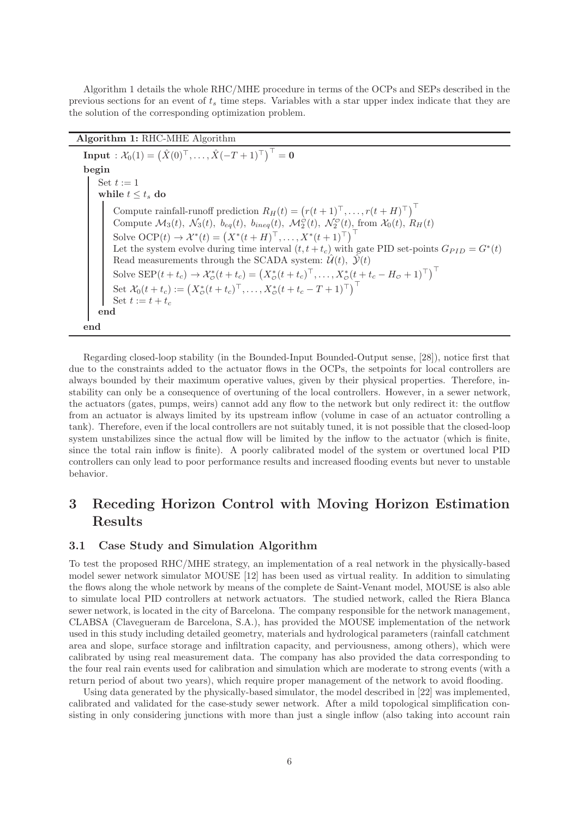Algorithm 1 details the whole RHC/MHE procedure in terms of the OCPs and SEPs described in the previous sections for an event of  $t_s$  time steps. Variables with a star upper index indicate that they are the solution of the corresponding optimization problem.

Algorithm 1: RHC-MHE Algorithm

 $\textbf{Input}: \mathcal{X}_0(1)=\big(\hat{X}(0)^\top,\ldots,\hat{X}(-T+1)^\top\big)^\top=\mathbf{0}$ begin Set  $t := 1$ while  $t \leq t_s$  do Compute rainfall-runoff prediction  $R_H(t) = (r(t+1)^\top, \ldots, r(t+H)^\top)^\top$ Compute  $\mathcal{M}_3(t)$ ,  $\mathcal{N}_3(t)$ ,  $b_{eq}(t)$ ,  $b_{ineq}(t)$ ,  $\mathcal{M}_2^{\mathcal{O}}(t)$ ,  $\mathcal{N}_2^{\mathcal{O}}(t)$ , from  $\mathcal{X}_0(t)$ ,  $R_H(t)$ Solve OCP $(t) \rightarrow \mathcal{X}^*(t) = (X^*(t + H)^{\top}, \dots, X^*(t + 1)^{\top})^{\top}$ Let the system evolve during time interval  $(t, t + t_c)$  with gate PID set-points  $G_{PID} = G^*(t)$ Read measurements through the SCADA system:  $\hat{\mathcal{U}}(t)$ ,  $\hat{\mathcal{Y}}(t)$ Solve  $\text{SEP}(t+t_c) \rightarrow \mathcal{X}_{\mathcal{O}}^*(t+t_c) = \left(X_{\mathcal{O}}^*(t+t_c)^\top, \ldots, X_{\mathcal{O}}^*(t+t_c - H_{\mathcal{O}} + 1)^\top\right)^\top$ Set  $\mathcal{X}_0(t+t_c) := (X_{\mathcal{O}}^*(t+t_c)^{\top}, \dots, X_{\mathcal{O}}^*(t+t_c - T + 1)^{\top})^{\top}$ Set  $t := t + t_c$ end end

Regarding closed-loop stability (in the Bounded-Input Bounded-Output sense, [28]), notice first that due to the constraints added to the actuator flows in the OCPs, the setpoints for local controllers are always bounded by their maximum operative values, given by their physical properties. Therefore, instability can only be a consequence of overtuning of the local controllers. However, in a sewer network, the actuators (gates, pumps, weirs) cannot add any flow to the network but only redirect it: the outflow from an actuator is always limited by its upstream inflow (volume in case of an actuator controlling a tank). Therefore, even if the local controllers are not suitably tuned, it is not possible that the closed-loop system unstabilizes since the actual flow will be limited by the inflow to the actuator (which is finite, since the total rain inflow is finite). A poorly calibrated model of the system or overtuned local PID controllers can only lead to poor performance results and increased flooding events but never to unstable behavior.

## 3 Receding Horizon Control with Moving Horizon Estimation Results

#### 3.1 Case Study and Simulation Algorithm

To test the proposed RHC/MHE strategy, an implementation of a real network in the physically-based model sewer network simulator MOUSE [12] has been used as virtual reality. In addition to simulating the flows along the whole network by means of the complete de Saint-Venant model, MOUSE is also able to simulate local PID controllers at network actuators. The studied network, called the Riera Blanca sewer network, is located in the city of Barcelona. The company responsible for the network management, CLABSA (Clavegueram de Barcelona, S.A.), has provided the MOUSE implementation of the network used in this study including detailed geometry, materials and hydrological parameters (rainfall catchment area and slope, surface storage and infiltration capacity, and perviousness, among others), which were calibrated by using real measurement data. The company has also provided the data corresponding to the four real rain events used for calibration and simulation which are moderate to strong events (with a return period of about two years), which require proper management of the network to avoid flooding.

Using data generated by the physically-based simulator, the model described in [22] was implemented, calibrated and validated for the case-study sewer network. After a mild topological simplification consisting in only considering junctions with more than just a single inflow (also taking into account rain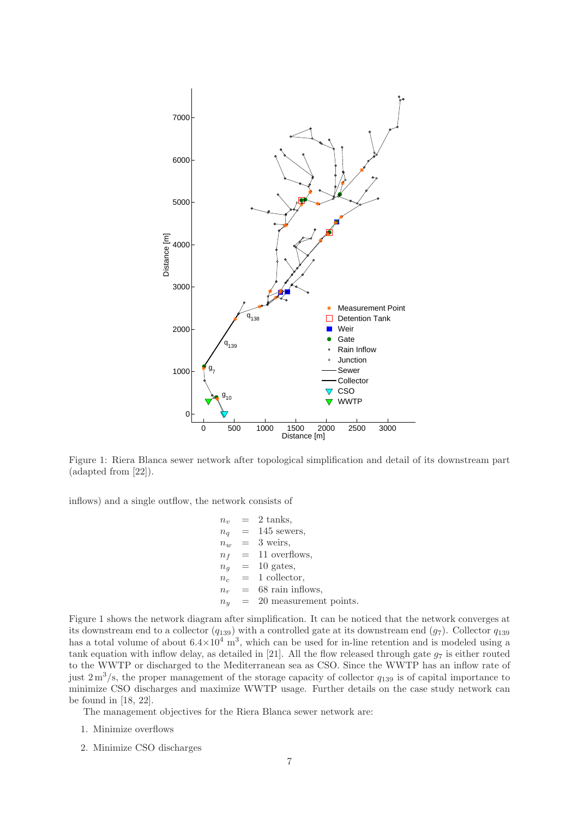

Figure 1: Riera Blanca sewer network after topological simplification and detail of its downstream part (adapted from [22]).

inflows) and a single outflow, the network consists of

$$
n_v = 2 \t{ tanks},
$$
  
\n
$$
n_q = 145 \text{ sewers},
$$
  
\n
$$
n_w = 3 \text{ weirs},
$$
  
\n
$$
n_f = 11 \text{ overflows},
$$
  
\n
$$
n_g = 10 \text{ gates},
$$
  
\n
$$
n_c = 1 \text{ collector},
$$
  
\n
$$
n_r = 68 \text{ rain inflows},
$$
  
\n
$$
n_y = 20 \text{ measurement points}.
$$

Figure 1 shows the network diagram after simplification. It can be noticed that the network converges at its downstream end to a collector  $(q_{139})$  with a controlled gate at its downstream end  $(q_7)$ . Collector  $q_{139}$ has a total volume of about  $6.4 \times 10^4$  m<sup>3</sup>, which can be used for in-line retention and is modeled using a tank equation with inflow delay, as detailed in [21]. All the flow released through gate  $g_7$  is either routed to the WWTP or discharged to the Mediterranean sea as CSO. Since the WWTP has an inflow rate of just  $2 \text{ m}^3/\text{s}$ , the proper management of the storage capacity of collector  $q_{139}$  is of capital importance to minimize CSO discharges and maximize WWTP usage. Further details on the case study network can be found in [18, 22].

The management objectives for the Riera Blanca sewer network are:

- 1. Minimize overflows
- 2. Minimize CSO discharges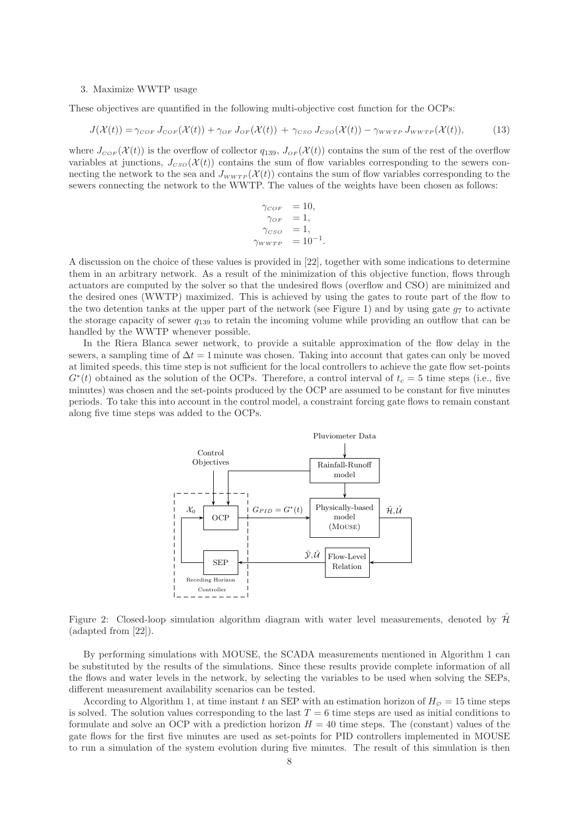#### 3. Maximize WWTP usage

These objectives are quantified in the following multi-objective cost function for the OCPs:

$$
J(\mathcal{X}(t)) = \gamma_{COF} J_{COF}(\mathcal{X}(t)) + \gamma_{OF} J_{OF}(\mathcal{X}(t)) + \gamma_{CSO} J_{CSO}(\mathcal{X}(t)) - \gamma_{WWTP} J_{WWTP}(\mathcal{X}(t)),
$$
\n(13)

where  $J_{COF}(\mathcal{X}(t))$  is the overflow of collector  $q_{139}$ ,  $J_{OF}(\mathcal{X}(t))$  contains the sum of the rest of the overflow variables at junctions,  $J_{CSO}(\mathcal{X}(t))$  contains the sum of flow variables corresponding to the sewers connecting the network to the sea and  $J_{WWTP}(\mathcal{X}(t))$  contains the sum of flow variables corresponding to the sewers connecting the network to the WWTP. The values of the weights have been chosen as follows:

$$
\gamma_{COF} = 10,
$$
  
\n
$$
\gamma_{OF} = 1,
$$
  
\n
$$
\gamma_{CSO} = 1,
$$
  
\n
$$
\gamma_{WWTP} = 10^{-1}.
$$

A discussion on the choice of these values is provided in [22], together with some indications to determine them in an arbitrary network. As a result of the minimization of this objective function, flows through actuators are computed by the solver so that the undesired flows (overflow and CSO) are minimized and the desired ones (WWTP) maximized. This is achieved by using the gates to route part of the flow to the two detention tanks at the upper part of the network (see Figure 1) and by using gate  $q_7$  to activate the storage capacity of sewer  $q_{139}$  to retain the incoming volume while providing an outflow that can be handled by the WWTP whenever possible.

In the Riera Blanca sewer network, to provide a suitable approximation of the flow delay in the sewers, a sampling time of  $\Delta t = 1$  minute was chosen. Taking into account that gates can only be moved at limited speeds, this time step is not sufficient for the local controllers to achieve the gate flow set-points  $G<sup>*</sup>(t)$  obtained as the solution of the OCPs. Therefore, a control interval of  $t_c = 5$  time steps (i.e., five minutes) was chosen and the set-points produced by the OCP are assumed to be constant for five minutes periods. To take this into account in the control model, a constraint forcing gate flows to remain constant along five time steps was added to the OCPs.



Figure 2: Closed-loop simulation algorithm diagram with water level measurements, denoted by  $\mathcal{H}$ (adapted from [22]).

By performing simulations with MOUSE, the SCADA measurements mentioned in Algorithm 1 can be substituted by the results of the simulations. Since these results provide complete information of all the flows and water levels in the network, by selecting the variables to be used when solving the SEPs, different measurement availability scenarios can be tested.

According to Algorithm 1, at time instant t an SEP with an estimation horizon of  $H_{\mathcal{O}} = 15$  time steps is solved. The solution values corresponding to the last  $T = 6$  time steps are used as initial conditions to formulate and solve an OCP with a prediction horizon  $H = 40$  time steps. The (constant) values of the gate flows for the first five minutes are used as set-points for PID controllers implemented in MOUSE to run a simulation of the system evolution during five minutes. The result of this simulation is then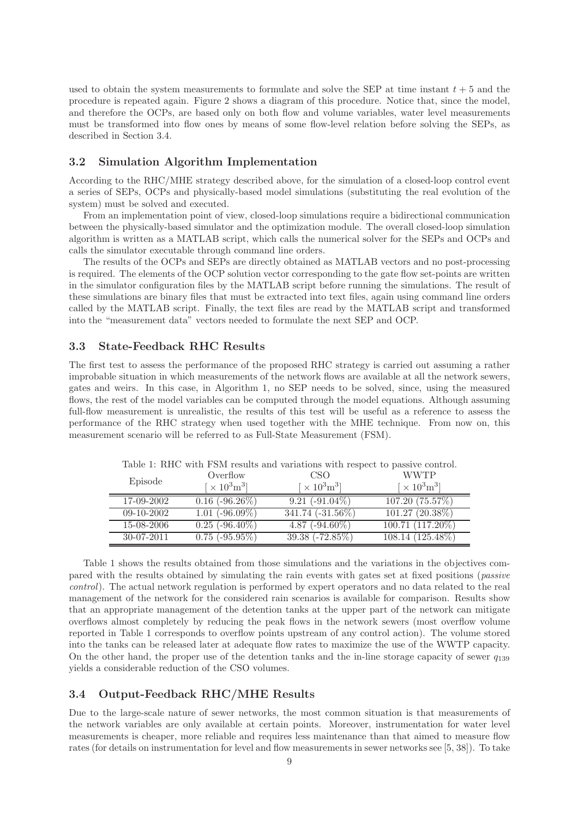used to obtain the system measurements to formulate and solve the SEP at time instant  $t + 5$  and the procedure is repeated again. Figure 2 shows a diagram of this procedure. Notice that, since the model, and therefore the OCPs, are based only on both flow and volume variables, water level measurements must be transformed into flow ones by means of some flow-level relation before solving the SEPs, as described in Section 3.4.

#### 3.2 Simulation Algorithm Implementation

According to the RHC/MHE strategy described above, for the simulation of a closed-loop control event a series of SEPs, OCPs and physically-based model simulations (substituting the real evolution of the system) must be solved and executed.

From an implementation point of view, closed-loop simulations require a bidirectional communication between the physically-based simulator and the optimization module. The overall closed-loop simulation algorithm is written as a MATLAB script, which calls the numerical solver for the SEPs and OCPs and calls the simulator executable through command line orders.

The results of the OCPs and SEPs are directly obtained as MATLAB vectors and no post-processing is required. The elements of the OCP solution vector corresponding to the gate flow set-points are written in the simulator configuration files by the MATLAB script before running the simulations. The result of these simulations are binary files that must be extracted into text files, again using command line orders called by the MATLAB script. Finally, the text files are read by the MATLAB script and transformed into the "measurement data" vectors needed to formulate the next SEP and OCP.

#### 3.3 State-Feedback RHC Results

The first test to assess the performance of the proposed RHC strategy is carried out assuming a rather improbable situation in which measurements of the network flows are available at all the network sewers, gates and weirs. In this case, in Algorithm 1, no SEP needs to be solved, since, using the measured flows, the rest of the model variables can be computed through the model equations. Although assuming full-flow measurement is unrealistic, the results of this test will be useful as a reference to assess the performance of the RHC strategy when used together with the MHE technique. From now on, this measurement scenario will be referred to as Full-State Measurement (FSM).

| Episode      | Overflow<br>$\times 10^3 \text{m}^3$ | CSO<br>$\times 10^3 \text{m}^3$ | WWTP<br>$\times 10^3 \text{m}^3$ |
|--------------|--------------------------------------|---------------------------------|----------------------------------|
| 17-09-2002   | $(-96.26\%)$<br>0.16                 | $(-91.04\%)$<br>9.21            | 107.20(75.57%)                   |
| $09-10-2002$ | $(-96.09\%)$<br>1.01                 | $341.74$ ( $-31.56\%$ )         | 101.27 (20.38%)                  |
| 15-08-2006   | $(-96.40\%)$<br>0.25                 | $(-94.60\%)$<br>4.87            | 100.71 (117.20%)                 |
| 30-07-2011   | $0.75$ (-95.95%)                     | $39.38(-72.85\%)$               | 108.14 (125.48%)                 |

Table 1: RHC with FSM results and variations with respect to passive control.

Table 1 shows the results obtained from those simulations and the variations in the objectives compared with the results obtained by simulating the rain events with gates set at fixed positions (passive control). The actual network regulation is performed by expert operators and no data related to the real management of the network for the considered rain scenarios is available for comparison. Results show that an appropriate management of the detention tanks at the upper part of the network can mitigate overflows almost completely by reducing the peak flows in the network sewers (most overflow volume reported in Table 1 corresponds to overflow points upstream of any control action). The volume stored into the tanks can be released later at adequate flow rates to maximize the use of the WWTP capacity. On the other hand, the proper use of the detention tanks and the in-line storage capacity of sewer  $q_{139}$ yields a considerable reduction of the CSO volumes.

#### 3.4 Output-Feedback RHC/MHE Results

Due to the large-scale nature of sewer networks, the most common situation is that measurements of the network variables are only available at certain points. Moreover, instrumentation for water level measurements is cheaper, more reliable and requires less maintenance than that aimed to measure flow rates (for details on instrumentation for level and flow measurements in sewer networks see [5, 38]). To take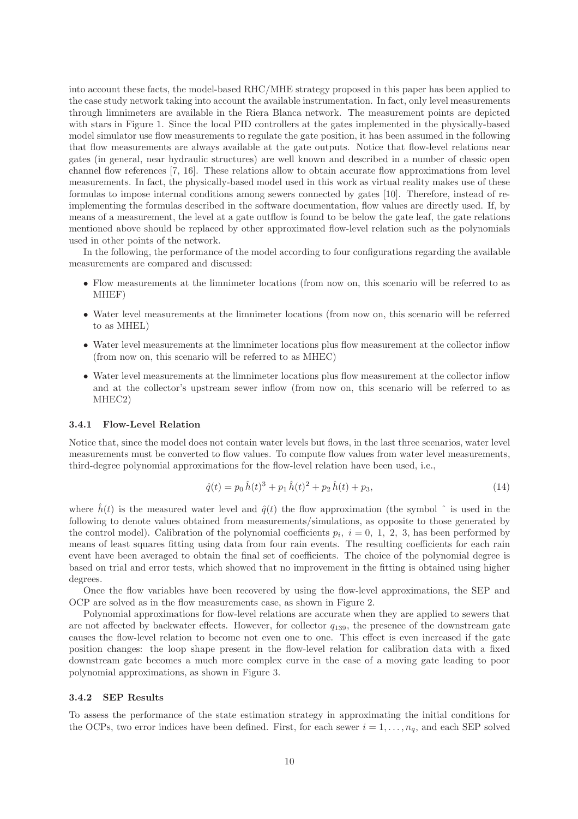into account these facts, the model-based RHC/MHE strategy proposed in this paper has been applied to the case study network taking into account the available instrumentation. In fact, only level measurements through limnimeters are available in the Riera Blanca network. The measurement points are depicted with stars in Figure 1. Since the local PID controllers at the gates implemented in the physically-based model simulator use flow measurements to regulate the gate position, it has been assumed in the following that flow measurements are always available at the gate outputs. Notice that flow-level relations near gates (in general, near hydraulic structures) are well known and described in a number of classic open channel flow references [7, 16]. These relations allow to obtain accurate flow approximations from level measurements. In fact, the physically-based model used in this work as virtual reality makes use of these formulas to impose internal conditions among sewers connected by gates [10]. Therefore, instead of reimplementing the formulas described in the software documentation, flow values are directly used. If, by means of a measurement, the level at a gate outflow is found to be below the gate leaf, the gate relations mentioned above should be replaced by other approximated flow-level relation such as the polynomials used in other points of the network.

In the following, the performance of the model according to four configurations regarding the available measurements are compared and discussed:

- Flow measurements at the limnimeter locations (from now on, this scenario will be referred to as MHEF)
- Water level measurements at the limnimeter locations (from now on, this scenario will be referred to as MHEL)
- Water level measurements at the limnimeter locations plus flow measurement at the collector inflow (from now on, this scenario will be referred to as MHEC)
- Water level measurements at the limnimeter locations plus flow measurement at the collector inflow and at the collector's upstream sewer inflow (from now on, this scenario will be referred to as MHEC2)

#### 3.4.1 Flow-Level Relation

Notice that, since the model does not contain water levels but flows, in the last three scenarios, water level measurements must be converted to flow values. To compute flow values from water level measurements, third-degree polynomial approximations for the flow-level relation have been used, i.e.,

$$
\hat{q}(t) = p_0 \,\hat{h}(t)^3 + p_1 \,\hat{h}(t)^2 + p_2 \,\hat{h}(t) + p_3,\tag{14}
$$

where  $\hat{h}(t)$  is the measured water level and  $\hat{q}(t)$  the flow approximation (the symbol  $\hat{ }$  is used in the following to denote values obtained from measurements/simulations, as opposite to those generated by the control model). Calibration of the polynomial coefficients  $p_i$ ,  $i = 0, 1, 2, 3$ , has been performed by means of least squares fitting using data from four rain events. The resulting coefficients for each rain event have been averaged to obtain the final set of coefficients. The choice of the polynomial degree is based on trial and error tests, which showed that no improvement in the fitting is obtained using higher degrees.

Once the flow variables have been recovered by using the flow-level approximations, the SEP and OCP are solved as in the flow measurements case, as shown in Figure 2.

Polynomial approximations for flow-level relations are accurate when they are applied to sewers that are not affected by backwater effects. However, for collector  $q_{139}$ , the presence of the downstream gate causes the flow-level relation to become not even one to one. This effect is even increased if the gate position changes: the loop shape present in the flow-level relation for calibration data with a fixed downstream gate becomes a much more complex curve in the case of a moving gate leading to poor polynomial approximations, as shown in Figure 3.

#### 3.4.2 SEP Results

To assess the performance of the state estimation strategy in approximating the initial conditions for the OCPs, two error indices have been defined. First, for each sewer  $i = 1, \ldots, n_q$ , and each SEP solved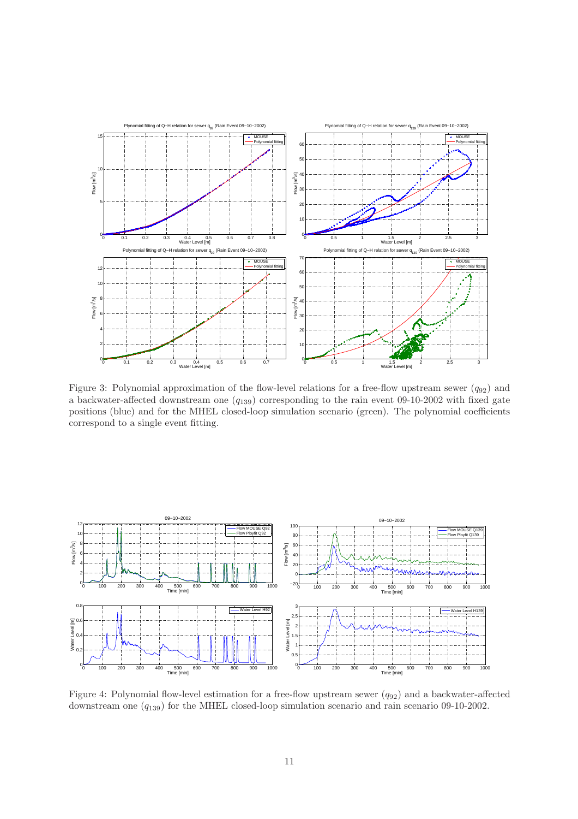

Figure 3: Polynomial approximation of the flow-level relations for a free-flow upstream sewer  $(q_{92})$  and a backwater-affected downstream one  $(q_{139})$  corresponding to the rain event 09-10-2002 with fixed gate positions (blue) and for the MHEL closed-loop simulation scenario (green). The polynomial coefficients correspond to a single event fitting.



Figure 4: Polynomial flow-level estimation for a free-flow upstream sewer  $(q_{92})$  and a backwater-affected downstream one (q139) for the MHEL closed-loop simulation scenario and rain scenario 09-10-2002.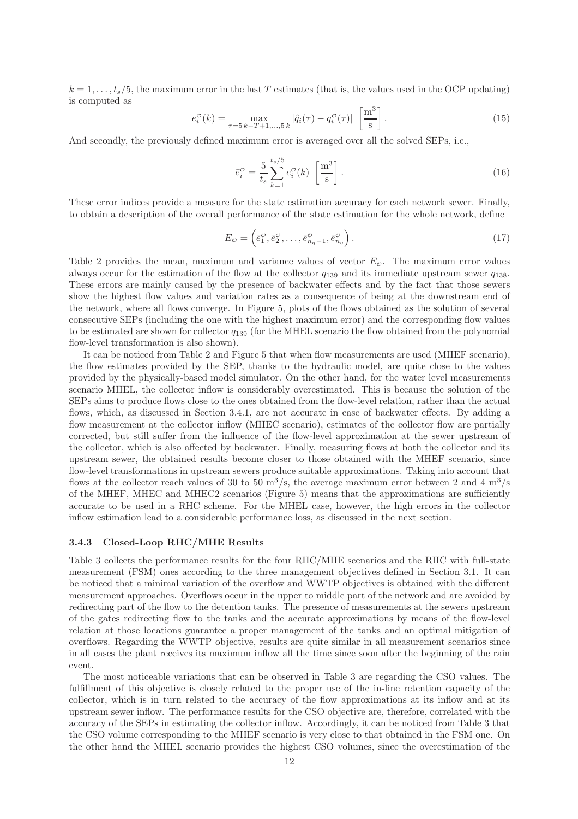$k = 1, \ldots, t_s/5$ , the maximum error in the last T estimates (that is, the values used in the OCP updating) is computed as

$$
e_i^{\mathcal{O}}(k) = \max_{\tau=5 \, k - T + 1, \dots, 5 \, k} |\hat{q}_i(\tau) - q_i^{\mathcal{O}}(\tau)| \, \left[\frac{\text{m}^3}{\text{s}}\right]. \tag{15}
$$

And secondly, the previously defined maximum error is averaged over all the solved SEPs, i.e.,

$$
\bar{e}_i^{\mathcal{O}} = \frac{5}{t_s} \sum_{k=1}^{t_s/5} e_i^{\mathcal{O}}(k) \left[\frac{\text{m}^3}{\text{s}}\right]. \tag{16}
$$

These error indices provide a measure for the state estimation accuracy for each network sewer. Finally, to obtain a description of the overall performance of the state estimation for the whole network, define

$$
E_{\mathcal{O}} = \left(\bar{e}_1^{\mathcal{O}}, \bar{e}_2^{\mathcal{O}}, \dots, \bar{e}_{n_q-1}^{\mathcal{O}}, \bar{e}_{n_q}^{\mathcal{O}}\right). \tag{17}
$$

Table 2 provides the mean, maximum and variance values of vector  $E_{\mathcal{O}}$ . The maximum error values always occur for the estimation of the flow at the collector  $q_{139}$  and its immediate upstream sewer  $q_{138}$ . These errors are mainly caused by the presence of backwater effects and by the fact that those sewers show the highest flow values and variation rates as a consequence of being at the downstream end of the network, where all flows converge. In Figure 5, plots of the flows obtained as the solution of several consecutive SEPs (including the one with the highest maximum error) and the corresponding flow values to be estimated are shown for collector  $q_{139}$  (for the MHEL scenario the flow obtained from the polynomial flow-level transformation is also shown).

It can be noticed from Table 2 and Figure 5 that when flow measurements are used (MHEF scenario), the flow estimates provided by the SEP, thanks to the hydraulic model, are quite close to the values provided by the physically-based model simulator. On the other hand, for the water level measurements scenario MHEL, the collector inflow is considerably overestimated. This is because the solution of the SEPs aims to produce flows close to the ones obtained from the flow-level relation, rather than the actual flows, which, as discussed in Section 3.4.1, are not accurate in case of backwater effects. By adding a flow measurement at the collector inflow (MHEC scenario), estimates of the collector flow are partially corrected, but still suffer from the influence of the flow-level approximation at the sewer upstream of the collector, which is also affected by backwater. Finally, measuring flows at both the collector and its upstream sewer, the obtained results become closer to those obtained with the MHEF scenario, since flow-level transformations in upstream sewers produce suitable approximations. Taking into account that flows at the collector reach values of 30 to 50  $\text{m}^3/\text{s}$ , the average maximum error between 2 and 4  $\text{m}^3/\text{s}$ of the MHEF, MHEC and MHEC2 scenarios (Figure 5) means that the approximations are sufficiently accurate to be used in a RHC scheme. For the MHEL case, however, the high errors in the collector inflow estimation lead to a considerable performance loss, as discussed in the next section.

#### 3.4.3 Closed-Loop RHC/MHE Results

Table 3 collects the performance results for the four RHC/MHE scenarios and the RHC with full-state measurement (FSM) ones according to the three management objectives defined in Section 3.1. It can be noticed that a minimal variation of the overflow and WWTP objectives is obtained with the different measurement approaches. Overflows occur in the upper to middle part of the network and are avoided by redirecting part of the flow to the detention tanks. The presence of measurements at the sewers upstream of the gates redirecting flow to the tanks and the accurate approximations by means of the flow-level relation at those locations guarantee a proper management of the tanks and an optimal mitigation of overflows. Regarding the WWTP objective, results are quite similar in all measurement scenarios since in all cases the plant receives its maximum inflow all the time since soon after the beginning of the rain event.

The most noticeable variations that can be observed in Table 3 are regarding the CSO values. The fulfillment of this objective is closely related to the proper use of the in-line retention capacity of the collector, which is in turn related to the accuracy of the flow approximations at its inflow and at its upstream sewer inflow. The performance results for the CSO objective are, therefore, correlated with the accuracy of the SEPs in estimating the collector inflow. Accordingly, it can be noticed from Table 3 that the CSO volume corresponding to the MHEF scenario is very close to that obtained in the FSM one. On the other hand the MHEL scenario provides the highest CSO volumes, since the overestimation of the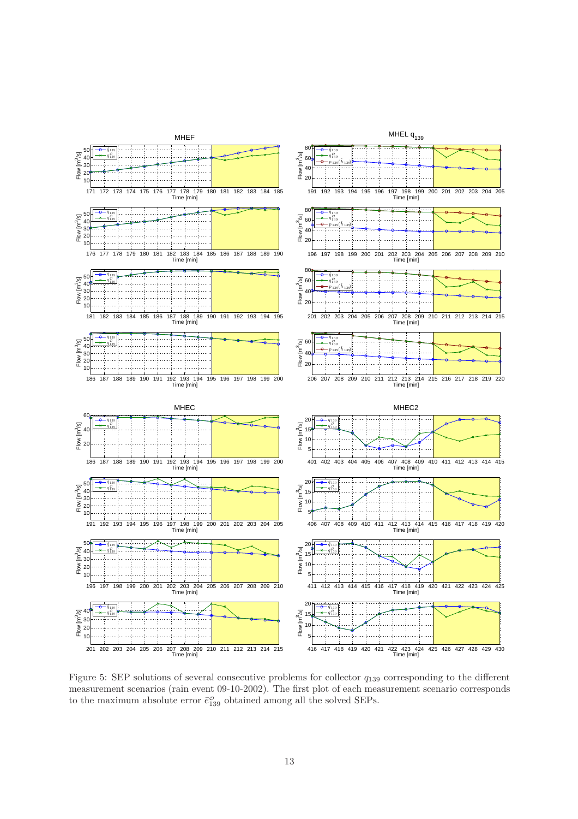

Figure 5: SEP solutions of several consecutive problems for collector  $q_{139}$  corresponding to the different measurement scenarios (rain event 09-10-2002). The first plot of each measurement scenario corresponds to the maximum absolute error  $\bar{e}_{139}^{\circ}$  obtained among all the solved SEPs.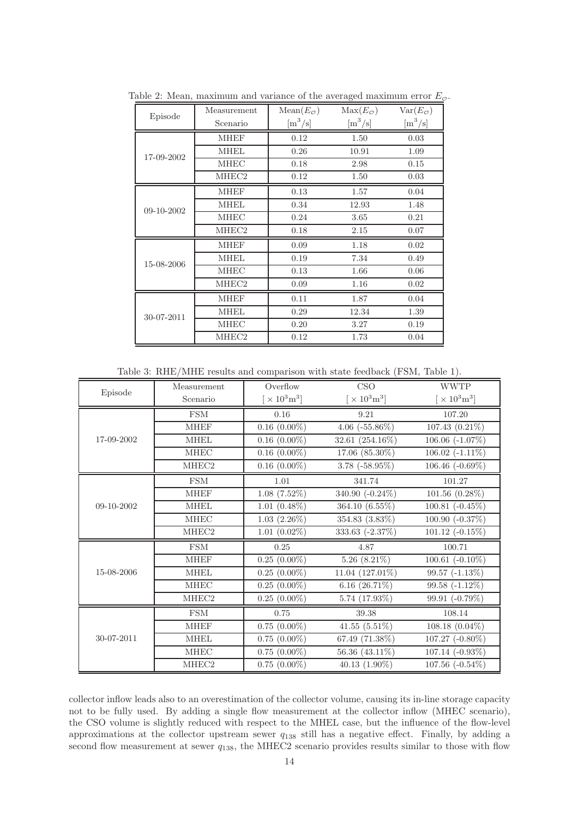| Episode    | Measurement | $Mean(E_{\mathcal{O}})$            | $Max(E_{\mathcal{O}})$                 | $Var(E_{\mathcal{O}})$                 |
|------------|-------------|------------------------------------|----------------------------------------|----------------------------------------|
|            | Scenario    | $\left[\text{m}^3/\text{s}\right]$ | $\left[\mathrm{m}^3/\mathrm{s}\right]$ | $\left[\mathrm{m}^3/\mathrm{s}\right]$ |
| 17-09-2002 | <b>MHEF</b> | 0.12                               | 1.50                                   | 0.03                                   |
|            | MHEL        | 0.26                               | 10.91                                  | 1.09                                   |
|            | <b>MHEC</b> | 0.18                               | 2.98                                   | 0.15                                   |
|            | MHEC2       | 0.12                               | 1.50                                   | 0.03                                   |
| 09-10-2002 | <b>MHEF</b> | 0.13                               | 1.57                                   | 0.04                                   |
|            | <b>MHEL</b> | 0.34                               | 12.93                                  | 1.48                                   |
|            | MHEC        | 0.24                               | 3.65                                   | 0.21                                   |
|            | MHEC2       | 0.18                               | 2.15                                   | 0.07                                   |
| 15-08-2006 | <b>MHEF</b> | 0.09                               | 1.18                                   | 0.02                                   |
|            | <b>MHEL</b> | 0.19                               | 7.34                                   | 0.49                                   |
|            | MHEC        | 0.13                               | 1.66                                   | 0.06                                   |
|            | MHEC2       | 0.09                               | 1.16                                   | 0.02                                   |
| 30-07-2011 | <b>MHEF</b> | 0.11                               | 1.87                                   | 0.04                                   |
|            | <b>MHEL</b> | 0.29                               | 12.34                                  | 1.39                                   |
|            | <b>MHEC</b> | 0.20                               | 3.27                                   | 0.19                                   |
|            | MHEC2       | 0.12                               | 1.73                                   | 0.04                                   |

Table 2: Mean, maximum and variance of the averaged maximum error  $E_{\phi}$ .

Table 3: RHE/MHE results and comparison with state feedback (FSM, Table 1).

|            | Measurement | Overflow                 | CSO                      | <b>WWTP</b>                          |
|------------|-------------|--------------------------|--------------------------|--------------------------------------|
| Episode    | Scenario    | $\times 10^3 \text{m}^3$ | $\times 10^3 \text{m}^3$ | $\left[\times10^3 \text{m}^3\right]$ |
|            | <b>FSM</b>  | 0.16                     | 9.21                     | 107.20                               |
| 17-09-2002 | <b>MHEF</b> | $0.16$ $(0.00\%)$        | 4.06 $(-55.86\%)$        | 107.43 (0.21%)                       |
|            | <b>MHEL</b> | $0.16$ $(0.00\%)$        | 32.61 (254.16%)          | 106.06 (-1.07%)                      |
|            | <b>MHEC</b> | $0.16$ $(0.00\%)$        | 17.06 (85.30%)           | $106.02$ $(-1.11\%)$                 |
|            | MHEC2       | $0.16$ $(0.00\%)$        | 3.78 $(-58.95\%)$        | $106.46$ ( $-0.69\%$ )               |
|            | <b>FSM</b>  | 1.01                     | 341.74                   | 101.27                               |
| 09-10-2002 | <b>MHEF</b> | $1.08(7.52\%)$           | 340.90 (-0.24%)          | 101.56 (0.28%)                       |
|            | <b>MHEL</b> | $1.01~(0.48\%)$          | 364.10 (6.55%)           | $100.81$ $(-0.45\%)$                 |
|            | <b>MHEC</b> | $1.03(2.26\%)$           | 354.83 (3.83%)           | 100.90 (-0.37%)                      |
|            | MHEC2       | $1.01(0.02\%)$           | 333.63 (-2.37%)          | $101.12$ $(-0.15\%)$                 |
| 15-08-2006 | <b>FSM</b>  | 0.25                     | 4.87                     | 100.71                               |
|            | <b>MHEF</b> | $0.25(0.00\%)$           | 5.26 $(8.21\%)$          | 100.61 (-0.10%)                      |
|            | <b>MHEL</b> | $0.25(0.00\%)$           | 11.04 (127.01%)          | 99.57 (-1.13%)                       |
|            | <b>MHEC</b> | $0.25(0.00\%)$           | 6.16 $(26.71\%)$         | 99.58 (-1.12%)                       |
|            | MHEC2       | $0.25(0.00\%)$           | 5.74 $(17.93%)$          | 99.91 (-0.79%)                       |
| 30-07-2011 | <b>FSM</b>  | 0.75                     | 39.38                    | 108.14                               |
|            | <b>MHEF</b> | $0.75(0.00\%)$           | 41.55 $(5.51\%)$         | 108.18 (0.04%)                       |
|            | <b>MHEL</b> | $0.75$ $(0.00\%)$        | 67.49 (71.38%)           | $107.27$ (-0.80%)                    |
|            | <b>MHEC</b> | $0.75(0.00\%)$           | 56.36 (43.11%)           | 107.14 (-0.93%)                      |
|            | MHEC2       | $0.75$ $(0.00\%)$        | $40.13(1.90\%)$          | $107.56$ $(-0.54\%)$                 |

collector inflow leads also to an overestimation of the collector volume, causing its in-line storage capacity not to be fully used. By adding a single flow measurement at the collector inflow (MHEC scenario), the CSO volume is slightly reduced with respect to the MHEL case, but the influence of the flow-level approximations at the collector upstream sewer q<sup>138</sup> still has a negative effect. Finally, by adding a second flow measurement at sewer  $q_{138}$ , the MHEC2 scenario provides results similar to those with flow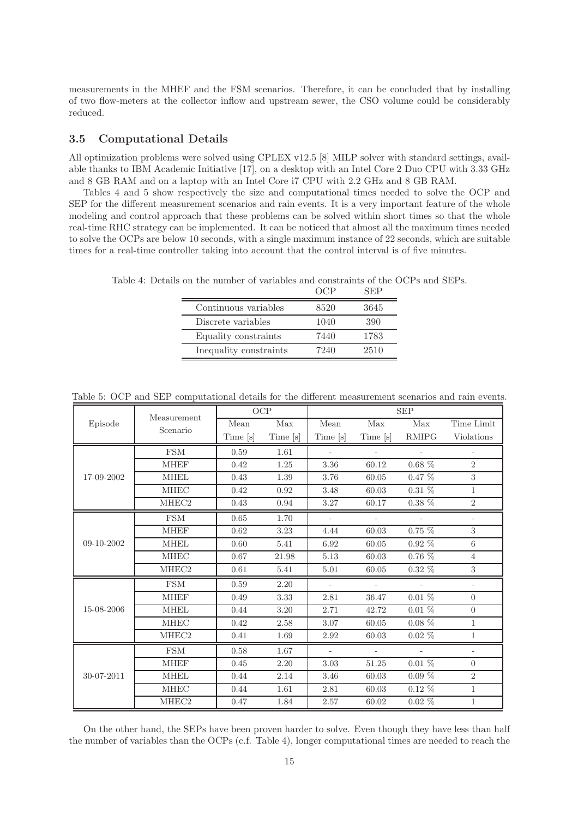measurements in the MHEF and the FSM scenarios. Therefore, it can be concluded that by installing of two flow-meters at the collector inflow and upstream sewer, the CSO volume could be considerably reduced.

#### 3.5 Computational Details

All optimization problems were solved using CPLEX v12.5 [8] MILP solver with standard settings, available thanks to IBM Academic Initiative [17], on a desktop with an Intel Core 2 Duo CPU with 3.33 GHz and 8 GB RAM and on a laptop with an Intel Core i7 CPU with 2.2 GHz and 8 GB RAM.

Tables 4 and 5 show respectively the size and computational times needed to solve the OCP and SEP for the different measurement scenarios and rain events. It is a very important feature of the whole modeling and control approach that these problems can be solved within short times so that the whole real-time RHC strategy can be implemented. It can be noticed that almost all the maximum times needed to solve the OCPs are below 10 seconds, with a single maximum instance of 22 seconds, which are suitable times for a real-time controller taking into account that the control interval is of five minutes.

|                        |      | SE P |
|------------------------|------|------|
| Continuous variables   | 8520 | 3645 |
| Discrete variables     | 1040 | 390  |
| Equality constraints   | 7440 | 1783 |
| Inequality constraints | 7240 | 2510 |

Table 4: Details on the number of variables and constraints of the OCPs and SEPs.

| Episode    | Measurement<br>Scenario | OCP      |          | <b>SEP</b>               |          |                |                          |
|------------|-------------------------|----------|----------|--------------------------|----------|----------------|--------------------------|
|            |                         | Mean     | Max      | Mean                     | Max      | Max            | Time Limit               |
|            |                         | Time [s] | Time [s] | Time [s]                 | Time [s] | <b>RMIPG</b>   | <b>Violations</b>        |
| 17-09-2002 | <b>FSM</b>              | 0.59     | 1.61     | $\sim$                   | $\sim$   | $\sim$         |                          |
|            | <b>MHEF</b>             | 0.42     | 1.25     | 3.36                     | 60.12    | $0.68~\%$      | $\overline{2}$           |
|            | <b>MHEL</b>             | 0.43     | 1.39     | $3.76\,$                 | 60.05    | $0.47\%$       | 3                        |
|            | <b>MHEC</b>             | 0.42     | 0.92     | 3.48                     | 60.03    | $0.31\%$       | $\mathbf{1}$             |
|            | MHEC2                   | 0.43     | 0.94     | 3.27                     | 60.17    | $0.38\%$       | $\overline{2}$           |
|            | <b>FSM</b>              | 0.65     | 1.70     | $\sim$                   | $\sim$   | $\sim$         |                          |
| 09-10-2002 | <b>MHEF</b>             | 0.62     | 3.23     | 4.44                     | 60.03    | $0.75\%$       | 3                        |
|            | <b>MHEL</b>             | 0.60     | 5.41     | 6.92                     | 60.05    | $0.92~\%$      | $\sqrt{6}$               |
|            | <b>MHEC</b>             | 0.67     | 21.98    | 5.13                     | 60.03    | $0.76\%$       | $\overline{4}$           |
|            | MHEC2                   | 0.61     | 5.41     | 5.01                     | 60.05    | $0.32\%$       | 3                        |
|            | <b>FSM</b>              | 0.59     | 2.20     | $\overline{\phantom{a}}$ | $\sim$   | $\sim$ $ \sim$ | $\overline{\phantom{a}}$ |
| 15-08-2006 | <b>MHEF</b>             | 0.49     | 3.33     | 2.81                     | 36.47    | $0.01\%$       | $\Omega$                 |
|            | <b>MHEL</b>             | 0.44     | 3.20     | 2.71                     | 42.72    | $0.01~\%$      | $\overline{0}$           |
|            | MHEC                    | 0.42     | 2.58     | 3.07                     | 60.05    | $0.08~\%$      | $\mathbf{1}$             |
|            | MHEC2                   | 0.41     | 1.69     | 2.92                     | 60.03    | $0.02\%$       | $\mathbf{1}$             |
| 30-07-2011 | $\operatorname{FSM}$    | 0.58     | 1.67     | $\omega$                 | $\sim$   | $\sim$         | $\overline{\phantom{a}}$ |
|            | <b>MHEF</b>             | 0.45     | 2.20     | 3.03                     | 51.25    | $0.01~\%$      | $\overline{0}$           |
|            | <b>MHEL</b>             | 0.44     | 2.14     | 3.46                     | 60.03    | $0.09\%$       | $\overline{2}$           |
|            | <b>MHEC</b>             | 0.44     | 1.61     | 2.81                     | 60.03    | $0.12~\%$      | $\mathbf{1}$             |
|            | MHEC2                   | 0.47     | 1.84     | 2.57                     | 60.02    | $0.02\%$       | $\mathbf{1}$             |

Table 5: OCP and SEP computational details for the different measurement scenarios and rain events.

On the other hand, the SEPs have been proven harder to solve. Even though they have less than half the number of variables than the OCPs (c.f. Table 4), longer computational times are needed to reach the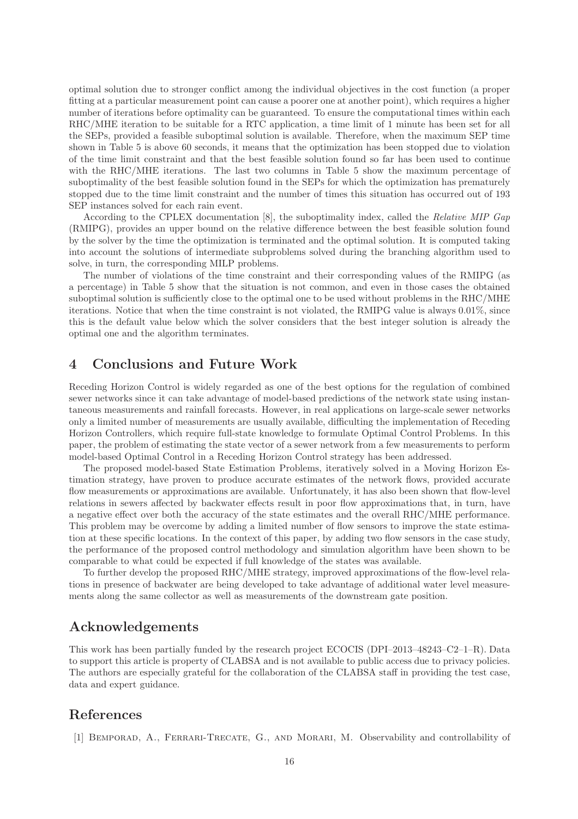optimal solution due to stronger conflict among the individual objectives in the cost function (a proper fitting at a particular measurement point can cause a poorer one at another point), which requires a higher number of iterations before optimality can be guaranteed. To ensure the computational times within each RHC/MHE iteration to be suitable for a RTC application, a time limit of 1 minute has been set for all the SEPs, provided a feasible suboptimal solution is available. Therefore, when the maximum SEP time shown in Table 5 is above 60 seconds, it means that the optimization has been stopped due to violation of the time limit constraint and that the best feasible solution found so far has been used to continue with the RHC/MHE iterations. The last two columns in Table 5 show the maximum percentage of suboptimality of the best feasible solution found in the SEPs for which the optimization has prematurely stopped due to the time limit constraint and the number of times this situation has occurred out of 193 SEP instances solved for each rain event.

According to the CPLEX documentation [8], the suboptimality index, called the Relative MIP Gap (RMIPG), provides an upper bound on the relative difference between the best feasible solution found by the solver by the time the optimization is terminated and the optimal solution. It is computed taking into account the solutions of intermediate subproblems solved during the branching algorithm used to solve, in turn, the corresponding MILP problems.

The number of violations of the time constraint and their corresponding values of the RMIPG (as a percentage) in Table 5 show that the situation is not common, and even in those cases the obtained suboptimal solution is sufficiently close to the optimal one to be used without problems in the RHC/MHE iterations. Notice that when the time constraint is not violated, the RMIPG value is always 0.01%, since this is the default value below which the solver considers that the best integer solution is already the optimal one and the algorithm terminates.

## 4 Conclusions and Future Work

Receding Horizon Control is widely regarded as one of the best options for the regulation of combined sewer networks since it can take advantage of model-based predictions of the network state using instantaneous measurements and rainfall forecasts. However, in real applications on large-scale sewer networks only a limited number of measurements are usually available, difficulting the implementation of Receding Horizon Controllers, which require full-state knowledge to formulate Optimal Control Problems. In this paper, the problem of estimating the state vector of a sewer network from a few measurements to perform model-based Optimal Control in a Receding Horizon Control strategy has been addressed.

The proposed model-based State Estimation Problems, iteratively solved in a Moving Horizon Estimation strategy, have proven to produce accurate estimates of the network flows, provided accurate flow measurements or approximations are available. Unfortunately, it has also been shown that flow-level relations in sewers affected by backwater effects result in poor flow approximations that, in turn, have a negative effect over both the accuracy of the state estimates and the overall RHC/MHE performance. This problem may be overcome by adding a limited number of flow sensors to improve the state estimation at these specific locations. In the context of this paper, by adding two flow sensors in the case study, the performance of the proposed control methodology and simulation algorithm have been shown to be comparable to what could be expected if full knowledge of the states was available.

To further develop the proposed RHC/MHE strategy, improved approximations of the flow-level relations in presence of backwater are being developed to take advantage of additional water level measurements along the same collector as well as measurements of the downstream gate position.

### Acknowledgements

This work has been partially funded by the research project ECOCIS (DPI–2013–48243–C2–1–R). Data to support this article is property of CLABSA and is not available to public access due to privacy policies. The authors are especially grateful for the collaboration of the CLABSA staff in providing the test case, data and expert guidance.

## References

[1] Bemporad, A., Ferrari-Trecate, G., and Morari, M. Observability and controllability of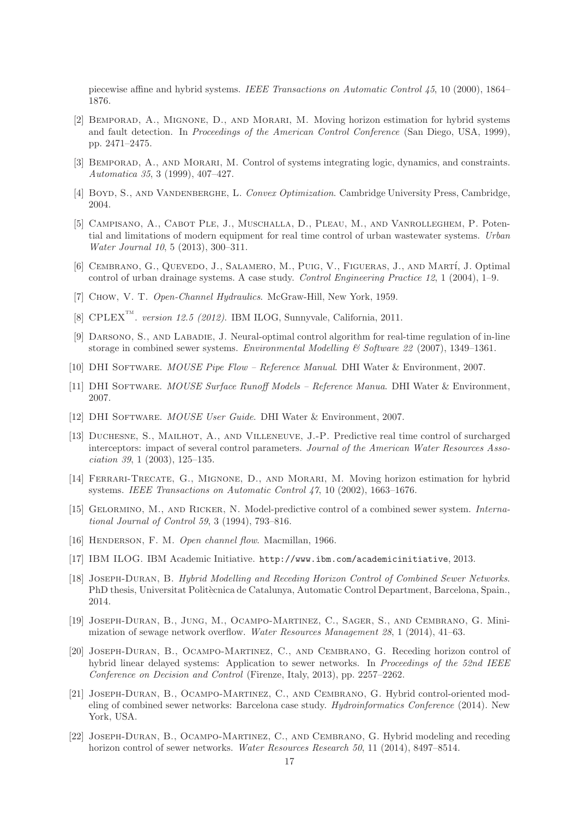piecewise affine and hybrid systems. IEEE Transactions on Automatic Control 45, 10 (2000), 1864– 1876.

- [2] Bemporad, A., Mignone, D., and Morari, M. Moving horizon estimation for hybrid systems and fault detection. In Proceedings of the American Control Conference (San Diego, USA, 1999), pp. 2471–2475.
- [3] Bemporad, A., and Morari, M. Control of systems integrating logic, dynamics, and constraints. Automatica 35, 3 (1999), 407–427.
- [4] BOYD, S., AND VANDENBERGHE, L. Convex Optimization. Cambridge University Press, Cambridge, 2004.
- [5] Campisano, A., Cabot Ple, J., Muschalla, D., Pleau, M., and Vanrolleghem, P. Potential and limitations of modern equipment for real time control of urban wastewater systems. Urban Water Journal 10, 5 (2013), 300–311.
- [6] CEMBRANO, G., QUEVEDO, J., SALAMERO, M., PUIG, V., FIGUERAS, J., AND MARTÍ, J. Optimal control of urban drainage systems. A case study. Control Engineering Practice 12, 1 (2004), 1–9.
- [7] CHOW, V. T. Open-Channel Hydraulics. McGraw-Hill, New York, 1959.
- [8] CPLEX<sup>TM</sup>. version 12.5 (2012). IBM ILOG, Sunnyvale, California, 2011.
- [9] DARSONO, S., AND LABADIE, J. Neural-optimal control algorithm for real-time regulation of in-line storage in combined sewer systems. Environmental Modelling  $\mathcal C$  Software 22 (2007), 1349–1361.
- [10] DHI Software. MOUSE Pipe Flow Reference Manual. DHI Water & Environment, 2007.
- [11] DHI Software. MOUSE Surface Runoff Models Reference Manua. DHI Water & Environment, 2007.
- [12] DHI SOFTWARE. MOUSE User Guide. DHI Water & Environment, 2007.
- [13] DUCHESNE, S., MAILHOT, A., AND VILLENEUVE, J.-P. Predictive real time control of surcharged interceptors: impact of several control parameters. Journal of the American Water Resources Association 39, 1 (2003), 125–135.
- [14] Ferrari-Trecate, G., Mignone, D., and Morari, M. Moving horizon estimation for hybrid systems. IEEE Transactions on Automatic Control 47, 10 (2002), 1663–1676.
- [15] Gelormino, M., and Ricker, N. Model-predictive control of a combined sewer system. International Journal of Control 59, 3 (1994), 793–816.
- [16] HENDERSON, F. M. Open channel flow. Macmillan, 1966.
- [17] IBM ILOG. IBM Academic Initiative. http://www.ibm.com/academicinitiative, 2013.
- [18] Joseph-Duran, B. Hybrid Modelling and Receding Horizon Control of Combined Sewer Networks. PhD thesis, Universitat Politècnica de Catalunya, Automatic Control Department, Barcelona, Spain., 2014.
- [19] Joseph-Duran, B., Jung, M., Ocampo-Martinez, C., Sager, S., and Cembrano, G. Minimization of sewage network overflow. Water Resources Management 28, 1 (2014), 41–63.
- [20] Joseph-Duran, B., Ocampo-Martinez, C., and Cembrano, G. Receding horizon control of hybrid linear delayed systems: Application to sewer networks. In Proceedings of the 52nd IEEE Conference on Decision and Control (Firenze, Italy, 2013), pp. 2257–2262.
- [21] Joseph-Duran, B., Ocampo-Martinez, C., and Cembrano, G. Hybrid control-oriented modeling of combined sewer networks: Barcelona case study. Hydroinformatics Conference (2014). New York, USA.
- [22] Joseph-Duran, B., Ocampo-Martinez, C., and Cembrano, G. Hybrid modeling and receding horizon control of sewer networks. Water Resources Research 50, 11 (2014), 8497–8514.